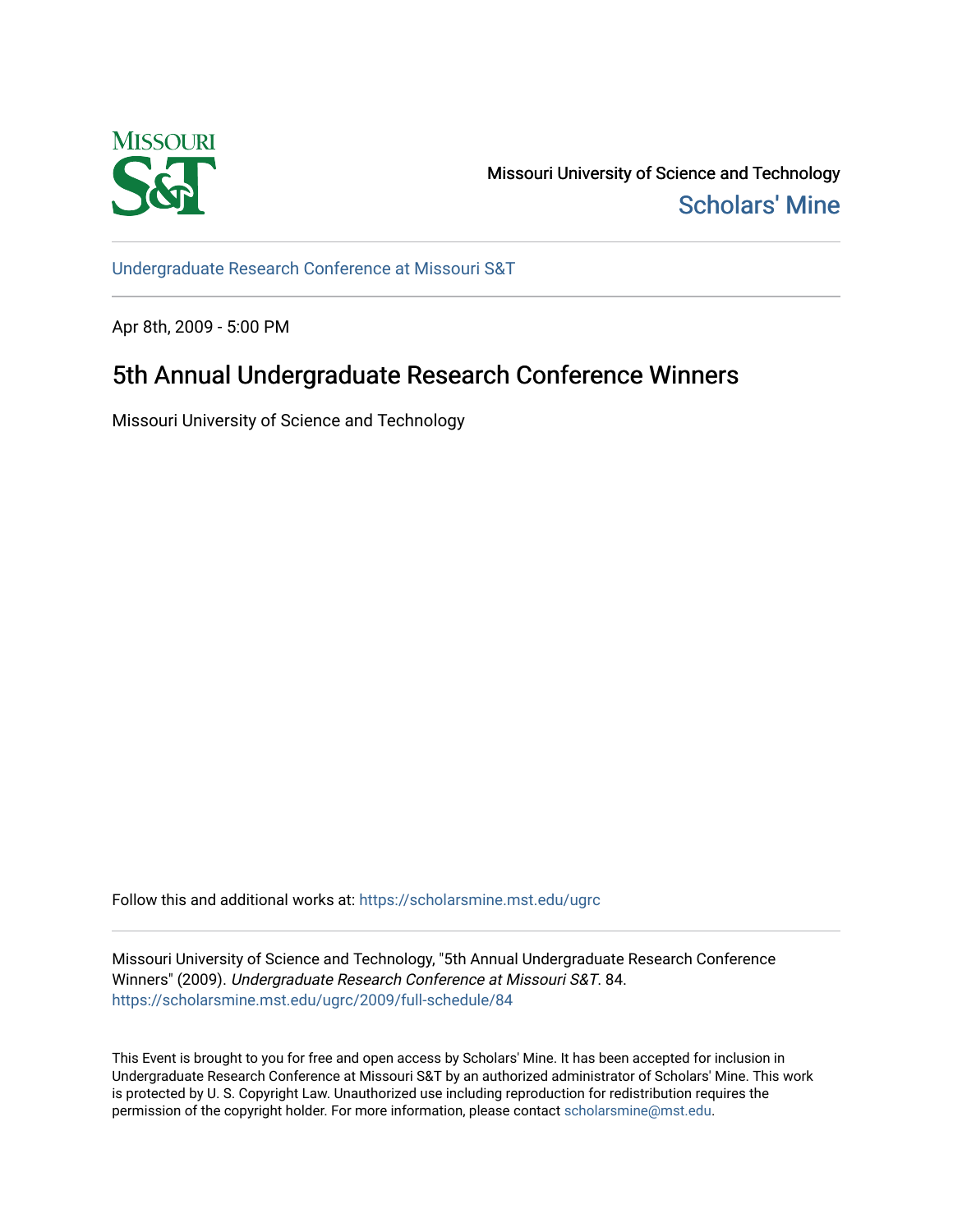

Missouri University of Science and Technology [Scholars' Mine](https://scholarsmine.mst.edu/) 

[Undergraduate Research Conference at Missouri S&T](https://scholarsmine.mst.edu/ugrc)

Apr 8th, 2009 - 5:00 PM

## 5th Annual Undergraduate Research Conference Winners

Missouri University of Science and Technology

Follow this and additional works at: [https://scholarsmine.mst.edu/ugrc](https://scholarsmine.mst.edu/ugrc?utm_source=scholarsmine.mst.edu%2Fugrc%2F2009%2Ffull-schedule%2F84&utm_medium=PDF&utm_campaign=PDFCoverPages) 

Missouri University of Science and Technology, "5th Annual Undergraduate Research Conference Winners" (2009). Undergraduate Research Conference at Missouri S&T. 84. [https://scholarsmine.mst.edu/ugrc/2009/full-schedule/84](https://scholarsmine.mst.edu/ugrc/2009/full-schedule/84?utm_source=scholarsmine.mst.edu%2Fugrc%2F2009%2Ffull-schedule%2F84&utm_medium=PDF&utm_campaign=PDFCoverPages) 

This Event is brought to you for free and open access by Scholars' Mine. It has been accepted for inclusion in Undergraduate Research Conference at Missouri S&T by an authorized administrator of Scholars' Mine. This work is protected by U. S. Copyright Law. Unauthorized use including reproduction for redistribution requires the permission of the copyright holder. For more information, please contact [scholarsmine@mst.edu](mailto:scholarsmine@mst.edu).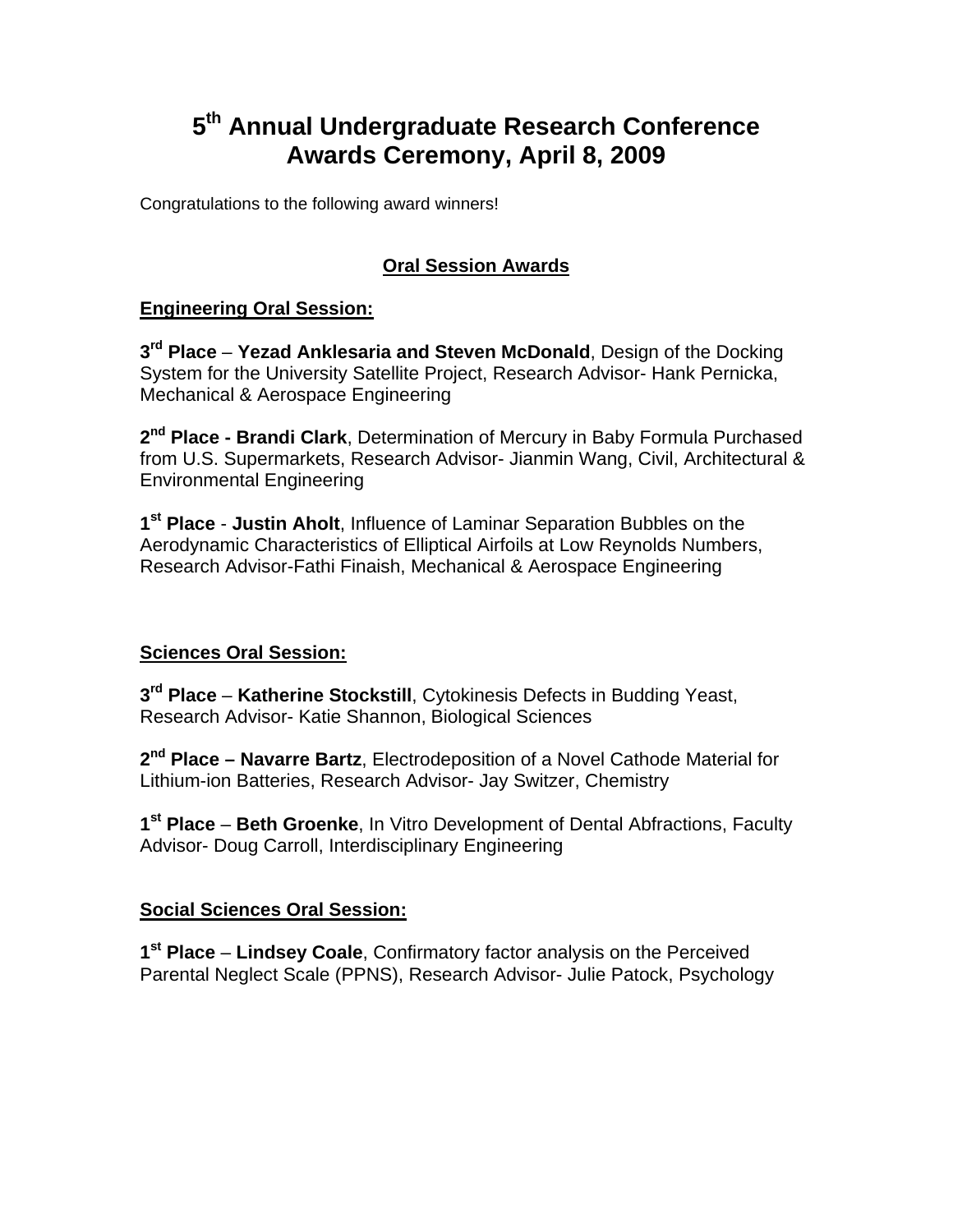# **5th Annual Undergraduate Research Conference Awards Ceremony, April 8, 2009**

Congratulations to the following award winners!

## **Oral Session Awards**

## **Engineering Oral Session:**

**3rd Place** – **Yezad Anklesaria and Steven McDonald**, Design of the Docking System for the University Satellite Project, Research Advisor- Hank Pernicka, Mechanical & Aerospace Engineering

**2nd Place - Brandi Clark**, Determination of Mercury in Baby Formula Purchased from U.S. Supermarkets, Research Advisor- Jianmin Wang, Civil, Architectural & Environmental Engineering

**1st Place** - **Justin Aholt**, Influence of Laminar Separation Bubbles on the Aerodynamic Characteristics of Elliptical Airfoils at Low Reynolds Numbers, Research Advisor-Fathi Finaish, Mechanical & Aerospace Engineering

## **Sciences Oral Session:**

**3rd Place** – **Katherine Stockstill**, Cytokinesis Defects in Budding Yeast, Research Advisor- Katie Shannon, Biological Sciences

**2nd Place – Navarre Bartz**, Electrodeposition of a Novel Cathode Material for Lithium-ion Batteries, Research Advisor- Jay Switzer, Chemistry

**1st Place** – **Beth Groenke**, In Vitro Development of Dental Abfractions, Faculty Advisor- Doug Carroll, Interdisciplinary Engineering

## **Social Sciences Oral Session:**

**1st Place** – **Lindsey Coale**, Confirmatory factor analysis on the Perceived Parental Neglect Scale (PPNS), Research Advisor- Julie Patock, Psychology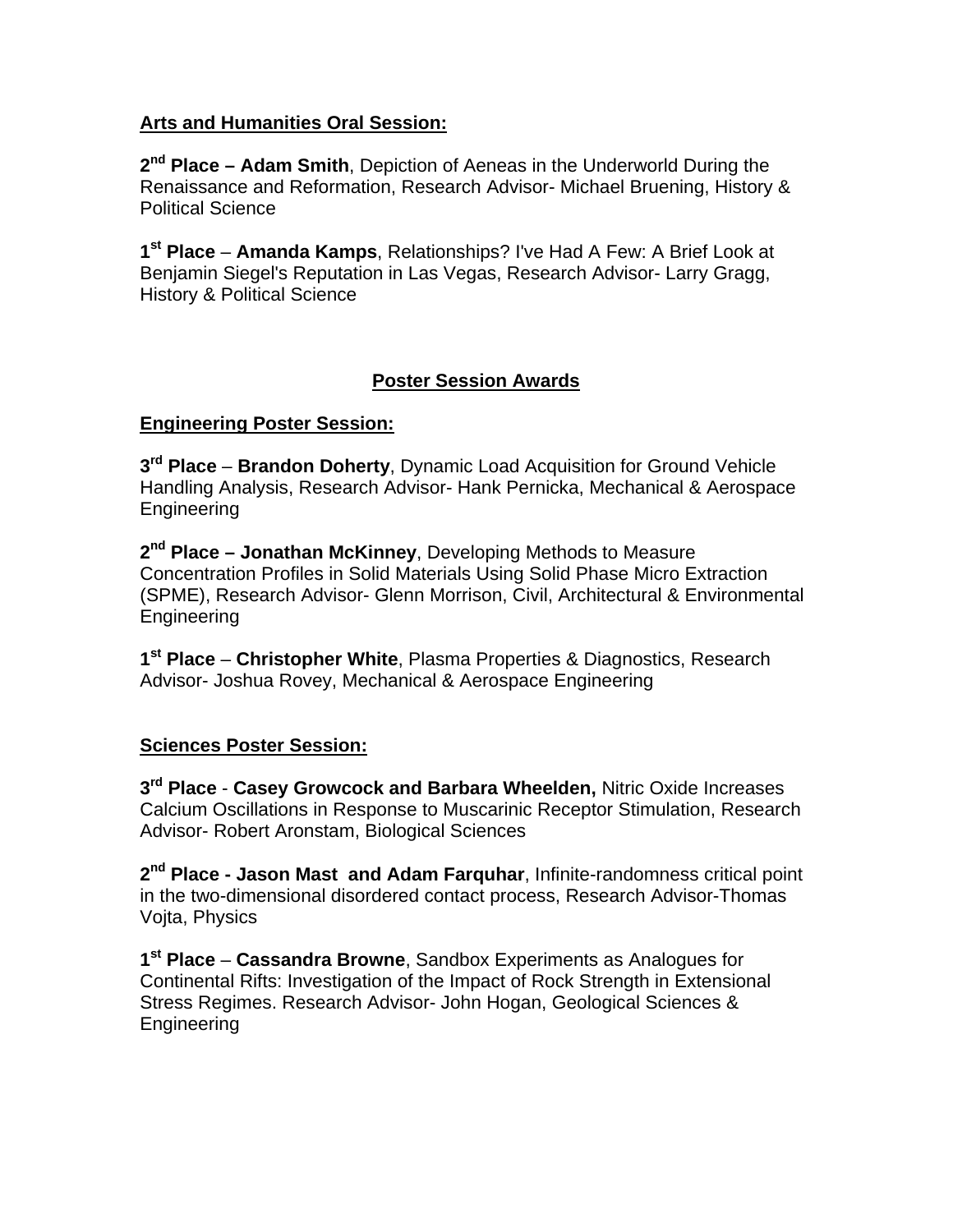### **Arts and Humanities Oral Session:**

**2nd Place – Adam Smith**, Depiction of Aeneas in the Underworld During the Renaissance and Reformation, Research Advisor- Michael Bruening, History & Political Science

**1st Place** – **Amanda Kamps**, Relationships? I've Had A Few: A Brief Look at Benjamin Siegel's Reputation in Las Vegas, Research Advisor- Larry Gragg, History & Political Science

## **Poster Session Awards**

### **Engineering Poster Session:**

**3rd Place** – **Brandon Doherty**, Dynamic Load Acquisition for Ground Vehicle Handling Analysis, Research Advisor- Hank Pernicka, Mechanical & Aerospace Engineering

**2nd Place – Jonathan McKinney**, Developing Methods to Measure Concentration Profiles in Solid Materials Using Solid Phase Micro Extraction (SPME), Research Advisor- Glenn Morrison, Civil, Architectural & Environmental Engineering

**1st Place** – **Christopher White**, Plasma Properties & Diagnostics, Research Advisor- Joshua Rovey, Mechanical & Aerospace Engineering

## **Sciences Poster Session:**

**3rd Place** - **Casey Growcock and Barbara Wheelden,** Nitric Oxide Increases Calcium Oscillations in Response to Muscarinic Receptor Stimulation, Research Advisor- Robert Aronstam, Biological Sciences

**2nd Place - Jason Mast and Adam Farquhar**, Infinite-randomness critical point in the two-dimensional disordered contact process, Research Advisor-Thomas Vojta, Physics

**1st Place** – **Cassandra Browne**, Sandbox Experiments as Analogues for Continental Rifts: Investigation of the Impact of Rock Strength in Extensional Stress Regimes. Research Advisor- John Hogan, Geological Sciences & Engineering